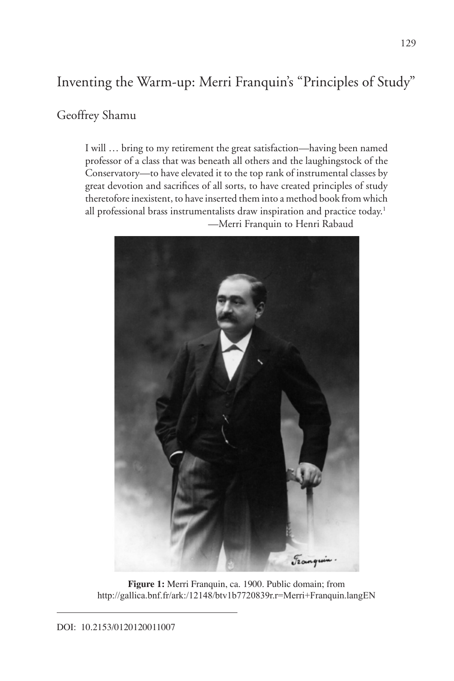# Inventing the Warm-up: Merri Franquin's "Principles of Study"

### Geoffrey Shamu

I will … bring to my retirement the great satisfaction—having been named professor of a class that was beneath all others and the laughingstock of the Conservatory—to have elevated it to the top rank of instrumental classes by great devotion and sacrifices of all sorts, to have created principles of study theretofore inexistent, to have inserted them into a method book from which all professional brass instrumentalists draw inspiration and practice today.<sup>1</sup> —Merri Franquin to Henri Rabaud



**Figure 1:** Merri Franquin, ca. 1900. Public domain; from http://gallica.bnf.fr/ark:/12148/btv1b7720839r.r=Merri+Franquin.langEN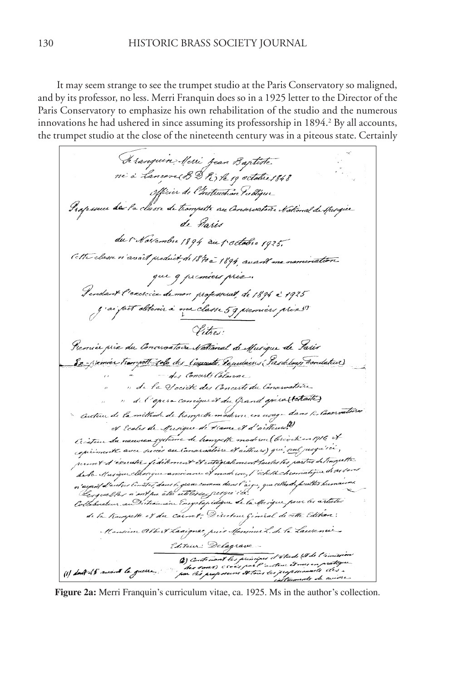It may seem strange to see the trumpet studio at the Paris Conservatory so maligned, and by its professor, no less. Merri Franquin does so in a 1925 letter to the Director of the Paris Conservatory to emphasize his own rehabilitation of the studio and the numerous innovations he had ushered in since assuming its professorship in 1894.<sup>2</sup> By all accounts, the trumpet studio at the close of the nineteenth century was in a piteous state. Certainly

Te ranquin Merri Jean Baptiste. ne à lancon BD R ) le 19 octobre 1848 Officier de l'Instruction Publique Professeur des la classe de trompette au Conservation National de Spinger de Paris du 1 Novembre 1894 au 1 octobre 1925. Cette classe n'avoit product de 1840 à 1894, avant ma nomination que q premiers prix. Gendant l'exircie de mon professerat, de 1894 à 1925 y si fait alterir à ma classe 59 premiers prix !! Vitros. Premier prix du Conservatoire National de Musique de Paris 8x- Memier Trangott Job des Comments, Papulaines (Pasdelous Trandatur) des Concerts Colomne " de la Vocièté des Concerts du Convervatoire " del'opera consigue et du Grand gresaltetailes Outeur de la méthode de trampette moderne en usage dans les Convivations et Ecoles de Musique de Harre et d'aiteurs?) Createur du neuveau système de transpette moderne (breveté en 1916 et experimente avec succès au Conventiere et aithurs) qui seul jusqu'ici, permet d'éxecutér fidékonent et entégrakment toutes les parties de trompette da la Musique classique ancienne et mode ine, l'échet chromatique di 14 s'ord n'osyonif d'aretrer limiter, dans li grave comme dans l'àsyre, que colhe de partites hermarna.<br>"Us grael fois n'ent pue être estéliéese j'est que é col. Collaborateur au Dictionnaire Encyclopédique de la Musique pour les articles de la trampette et du carnet ; Direction Général de cette Edition ; Mansieur Albert Lacionac, puis Monsieur L. dr. la Laurence Editein; Delagrave 4) Contemant les principes et étade (8 de l'américaire<br>des secons : excès par l'austeur d'unions pratéque.<br>par élu proposeurs d'Étaus les professionnels et es .<br>cottumnets de circules. (1) Lout 45 second la guerre

**Figure 2a:** Merri Franquin's curriculum vitae, ca. 1925. Ms in the author's collection.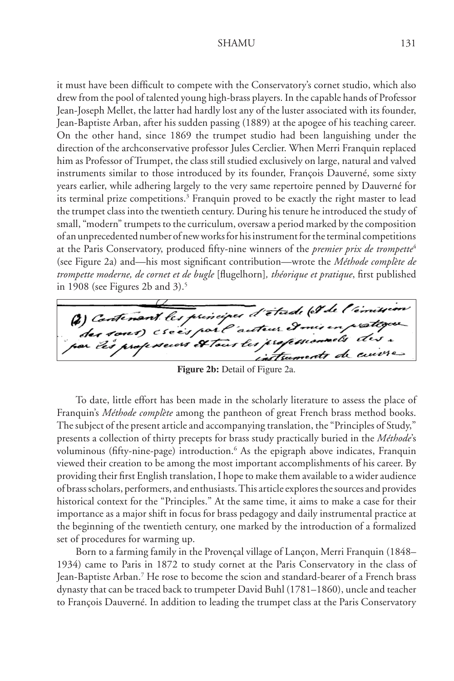it must have been difficult to compete with the Conservatory's cornet studio, which also drew from the pool of talented young high-brass players. In the capable hands of Professor Jean-Joseph Mellet, the latter had hardly lost any of the luster associated with its founder, Jean-Baptiste Arban, after his sudden passing (1889) at the apogee of his teaching career. On the other hand, since 1869 the trumpet studio had been languishing under the direction of the archconservative professor Jules Cerclier. When Merri Franquin replaced him as Professor of Trumpet, the class still studied exclusively on large, natural and valved instruments similar to those introduced by its founder, François Dauverné, some sixty years earlier, while adhering largely to the very same repertoire penned by Dauverné for its terminal prize competitions.<sup>3</sup> Franquin proved to be exactly the right master to lead the trumpet class into the twentieth century. During his tenure he introduced the study of small, "modern" trumpets to the curriculum, oversaw a period marked by the composition of an unprecedented number of new works for his instrument for the terminal competitions at the Paris Conservatory, produced fifty-nine winners of the *premier prix de trompette*<sup>4</sup> (see Figure 2a) and—his most significant contribution—wrote the *Méthode complète de trompette moderne, de cornet et de bugle* [flugelhorn]*, théorique et pratique*, first published in 1908 (see Figures 2b and  $3$ ).<sup>5</sup>

(2) Contenant les principes d'étade (et de l'émerses on crees part auteur et mis en protegeu psecors et tour les profession struments

**Figure 2b:** Detail of Figure 2a.

To date, little effort has been made in the scholarly literature to assess the place of Franquin's *Méthode complète* among the pantheon of great French brass method books. The subject of the present article and accompanying translation, the "Principles of Study," presents a collection of thirty precepts for brass study practically buried in the *Méthode*'s voluminous (fifty-nine-page) introduction.<sup>6</sup> As the epigraph above indicates, Franquin viewed their creation to be among the most important accomplishments of his career. By providing their first English translation, I hope to make them available to a wider audience of brass scholars, performers, and enthusiasts. This article explores the sources and provides historical context for the "Principles." At the same time, it aims to make a case for their importance as a major shift in focus for brass pedagogy and daily instrumental practice at the beginning of the twentieth century, one marked by the introduction of a formalized set of procedures for warming up.

Born to a farming family in the Provençal village of Lançon, Merri Franquin (1848– 1934) came to Paris in 1872 to study cornet at the Paris Conservatory in the class of Jean-Baptiste Arban.7 He rose to become the scion and standard-bearer of a French brass dynasty that can be traced back to trumpeter David Buhl (1781–1860), uncle and teacher to François Dauverné. In addition to leading the trumpet class at the Paris Conservatory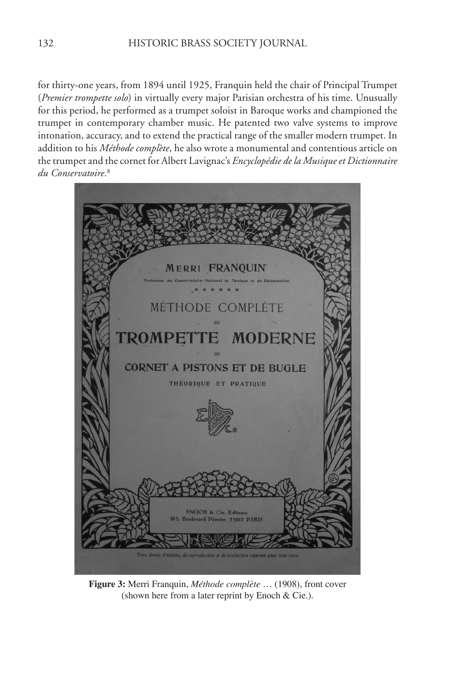for thirty-one years, from 1894 until 1925, Franquin held the chair of Principal Trumpet (*Premier trompette solo*) in virtually every major Parisian orchestra of his time. Unusually for this period, he performed as a trumpet soloist in Baroque works and championed the trumpet in contemporary chamber music. He patented two valve systems to improve intonation, accuracy, and to extend the practical range of the smaller modern trumpet. In addition to his *Méthode complète*, he also wrote a monumental and contentious article on the trumpet and the cornet for Albert Lavignac's *Encyclopédie de la Musique et Dictionnaire du Conservatoire*. 8



**Figure 3:** Merri Franquin, *Méthode complète* … (1908), front cover (shown here from a later reprint by Enoch & Cie.).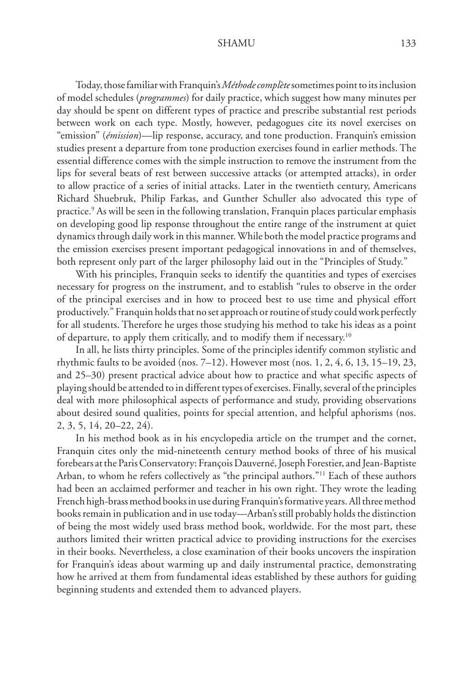Today, those familiar with Franquin's *Méthode complète* sometimes point to its inclusion of model schedules (*programmes*) for daily practice, which suggest how many minutes per day should be spent on different types of practice and prescribe substantial rest periods between work on each type. Mostly, however, pedagogues cite its novel exercises on "emission" (*émission*)—lip response, accuracy, and tone production. Franquin's emission studies present a departure from tone production exercises found in earlier methods. The essential difference comes with the simple instruction to remove the instrument from the lips for several beats of rest between successive attacks (or attempted attacks), in order to allow practice of a series of initial attacks. Later in the twentieth century, Americans Richard Shuebruk, Philip Farkas, and Gunther Schuller also advocated this type of practice.9 As will be seen in the following translation, Franquin places particular emphasis on developing good lip response throughout the entire range of the instrument at quiet dynamics through daily work in this manner. While both the model practice programs and the emission exercises present important pedagogical innovations in and of themselves, both represent only part of the larger philosophy laid out in the "Principles of Study."

With his principles, Franquin seeks to identify the quantities and types of exercises necessary for progress on the instrument, and to establish "rules to observe in the order of the principal exercises and in how to proceed best to use time and physical effort productively." Franquin holds that no set approach or routine of study could work perfectly for all students. Therefore he urges those studying his method to take his ideas as a point of departure, to apply them critically, and to modify them if necessary.10

In all, he lists thirty principles. Some of the principles identify common stylistic and rhythmic faults to be avoided (nos. 7–12). However most (nos. 1, 2, 4, 6, 13, 15–19, 23, and 25–30) present practical advice about how to practice and what specific aspects of playing should be attended to in different types of exercises. Finally, several of the principles deal with more philosophical aspects of performance and study, providing observations about desired sound qualities, points for special attention, and helpful aphorisms (nos. 2, 3, 5, 14, 20–22, 24).

In his method book as in his encyclopedia article on the trumpet and the cornet, Franquin cites only the mid-nineteenth century method books of three of his musical forebears at the Paris Conservatory: François Dauverné, Joseph Forestier, and Jean-Baptiste Arban, to whom he refers collectively as "the principal authors."11 Each of these authors had been an acclaimed performer and teacher in his own right. They wrote the leading French high-brass method books in use during Franquin's formative years. All three method books remain in publication and in use today—Arban's still probably holds the distinction of being the most widely used brass method book, worldwide. For the most part, these authors limited their written practical advice to providing instructions for the exercises in their books. Nevertheless, a close examination of their books uncovers the inspiration for Franquin's ideas about warming up and daily instrumental practice, demonstrating how he arrived at them from fundamental ideas established by these authors for guiding beginning students and extended them to advanced players.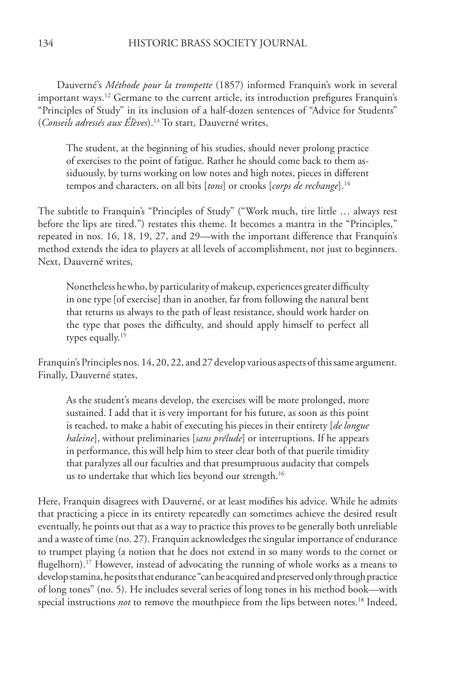Dauverné's *Méthode pour la trompette* (1857) informed Franquin's work in several important ways.<sup>12</sup> Germane to the current article, its introduction prefigures Franquin's "Principles of Study" in its inclusion of a half-dozen sentences of "Advice for Students" (*Conseils adressés aux Élèves*).13 To start, Dauverné writes,

The student, at the beginning of his studies, should never prolong practice of exercises to the point of fatigue. Rather he should come back to them assiduously, by turns working on low notes and high notes, pieces in different tempos and characters, on all bits [*tons*] or crooks [*corps de rechange*].14

The subtitle to Franquin's "Principles of Study" ("Work much, tire little … always rest before the lips are tired.") restates this theme. It becomes a mantra in the "Principles," repeated in nos. 16, 18, 19, 27, and 29—with the important difference that Franquin's method extends the idea to players at all levels of accomplishment, not just to beginners. Next, Dauverné writes,

Nonetheless he who, by particularity of makeup, experiences greater difficulty in one type [of exercise] than in another, far from following the natural bent that returns us always to the path of least resistance, should work harder on the type that poses the difficulty, and should apply himself to perfect all types equally.<sup>15</sup>

Franquin's Principles nos. 14, 20, 22, and 27 develop various aspects of this same argument. Finally, Dauverné states,

As the student's means develop, the exercises will be more prolonged, more sustained. I add that it is very important for his future, as soon as this point is reached, to make a habit of executing his pieces in their entirety [*de longue haleine*], without preliminaries [*sans prélude*] or interruptions. If he appears in performance, this will help him to steer clear both of that puerile timidity that paralyzes all our faculties and that presumptuous audacity that compels us to undertake that which lies beyond our strength.<sup>16</sup>

Here, Franquin disagrees with Dauverné, or at least modifies his advice. While he admits that practicing a piece in its entirety repeatedly can sometimes achieve the desired result eventually, he points out that as a way to practice this proves to be generally both unreliable and a waste of time (no. 27). Franquin acknowledges the singular importance of endurance to trumpet playing (a notion that he does not extend in so many words to the cornet or flugelhorn).<sup>17</sup> However, instead of advocating the running of whole works as a means to develop stamina, he posits that endurance "can be acquired and preserved only through practice of long tones" (no. 5). He includes several series of long tones in his method book—with special instructions *not* to remove the mouthpiece from the lips between notes.<sup>18</sup> Indeed,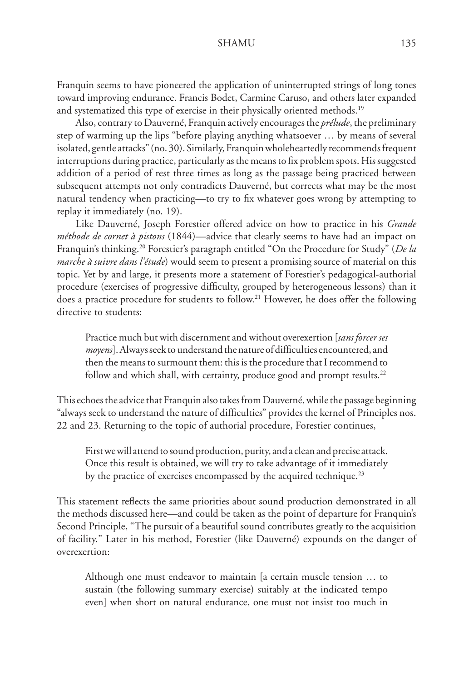Franquin seems to have pioneered the application of uninterrupted strings of long tones toward improving endurance. Francis Bodet, Carmine Caruso, and others later expanded and systematized this type of exercise in their physically oriented methods.<sup>19</sup>

Also, contrary to Dauverné, Franquin actively encourages the *prélude*, the preliminary step of warming up the lips "before playing anything whatsoever … by means of several isolated, gentle attacks" (no. 30). Similarly, Franquin wholeheartedly recommends frequent interruptions during practice, particularly as the means to fix problem spots. His suggested addition of a period of rest three times as long as the passage being practiced between subsequent attempts not only contradicts Dauverné, but corrects what may be the most natural tendency when practicing—to try to fix whatever goes wrong by attempting to replay it immediately (no. 19).

Like Dauverné, Joseph Forestier offered advice on how to practice in his *Grande méthode de cornet à pistons* (1844)—advice that clearly seems to have had an impact on Franquin's thinking.20 Forestier's paragraph entitled "On the Procedure for Study" (*De la marche à suivre dans l'étude*) would seem to present a promising source of material on this topic. Yet by and large, it presents more a statement of Forestier's pedagogical-authorial procedure (exercises of progressive difficulty, grouped by heterogeneous lessons) than it does a practice procedure for students to follow.21 However, he does offer the following directive to students:

Practice much but with discernment and without overexertion [*sans forcer ses moyens*]. Always seek to understand the nature of difficulties encountered, and then the means to surmount them: this is the procedure that I recommend to follow and which shall, with certainty, produce good and prompt results.<sup>22</sup>

This echoes the advice that Franquin also takes from Dauverné, while the passage beginning "always seek to understand the nature of difficulties" provides the kernel of Principles nos. 22 and 23. Returning to the topic of authorial procedure, Forestier continues,

First we will attend to sound production, purity, and a clean and precise attack. Once this result is obtained, we will try to take advantage of it immediately by the practice of exercises encompassed by the acquired technique.<sup>23</sup>

This statement reflects the same priorities about sound production demonstrated in all the methods discussed here—and could be taken as the point of departure for Franquin's Second Principle, "The pursuit of a beautiful sound contributes greatly to the acquisition of facility." Later in his method, Forestier (like Dauverné) expounds on the danger of overexertion:

Although one must endeavor to maintain [a certain muscle tension … to sustain (the following summary exercise) suitably at the indicated tempo even] when short on natural endurance, one must not insist too much in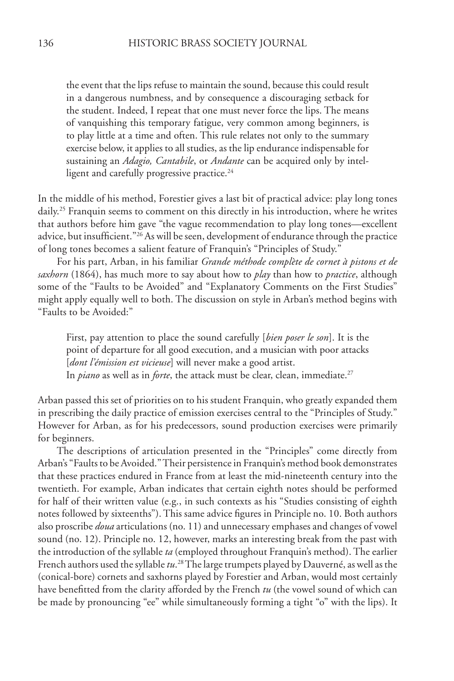the event that the lips refuse to maintain the sound, because this could result in a dangerous numbness, and by consequence a discouraging setback for the student. Indeed, I repeat that one must never force the lips. The means of vanquishing this temporary fatigue, very common among beginners, is to play little at a time and often. This rule relates not only to the summary exercise below, it applies to all studies, as the lip endurance indispensable for sustaining an *Adagio, Cantabile*, or *Andante* can be acquired only by intelligent and carefully progressive practice.<sup>24</sup>

In the middle of his method, Forestier gives a last bit of practical advice: play long tones daily.<sup>25</sup> Franquin seems to comment on this directly in his introduction, where he writes that authors before him gave "the vague recommendation to play long tones—excellent advice, but insufficient."26 As will be seen, development of endurance through the practice of long tones becomes a salient feature of Franquin's "Principles of Study."

For his part, Arban, in his familiar *Grande méthode complète de cornet à pistons et de saxhorn* (1864), has much more to say about how to *play* than how to *practice*, although some of the "Faults to be Avoided" and "Explanatory Comments on the First Studies" might apply equally well to both. The discussion on style in Arban's method begins with "Faults to be Avoided:"

First, pay attention to place the sound carefully [*bien poser le son*]. It is the point of departure for all good execution, and a musician with poor attacks [*dont l'émission est vicieuse*] will never make a good artist. In *piano* as well as in *forte*, the attack must be clear, clean, immediate.<sup>27</sup>

Arban passed this set of priorities on to his student Franquin, who greatly expanded them in prescribing the daily practice of emission exercises central to the "Principles of Study." However for Arban, as for his predecessors, sound production exercises were primarily for beginners.

The descriptions of articulation presented in the "Principles" come directly from Arban's "Faults to be Avoided." Their persistence in Franquin's method book demonstrates that these practices endured in France from at least the mid-nineteenth century into the twentieth. For example, Arban indicates that certain eighth notes should be performed for half of their written value (e.g., in such contexts as his "Studies consisting of eighth notes followed by sixteenths"). This same advice figures in Principle no. 10. Both authors also proscribe *doua* articulations (no. 11) and unnecessary emphases and changes of vowel sound (no. 12). Principle no. 12, however, marks an interesting break from the past with the introduction of the syllable *ta* (employed throughout Franquin's method). The earlier French authors used the syllable *tu*. 28 The large trumpets played by Dauverné, as well as the (conical-bore) cornets and saxhorns played by Forestier and Arban, would most certainly have benefitted from the clarity afforded by the French *tu* (the vowel sound of which can be made by pronouncing "ee" while simultaneously forming a tight "o" with the lips). It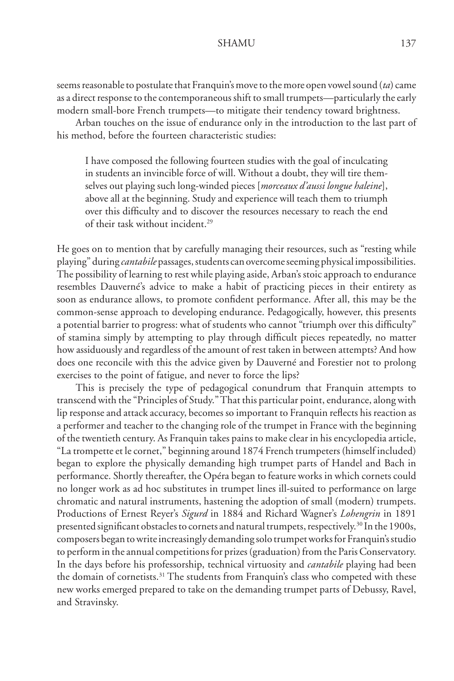seems reasonable to postulate that Franquin's move to the more open vowel sound (*ta*) came as a direct response to the contemporaneous shift to small trumpets—particularly the early modern small-bore French trumpets—to mitigate their tendency toward brightness.

Arban touches on the issue of endurance only in the introduction to the last part of his method, before the fourteen characteristic studies:

I have composed the following fourteen studies with the goal of inculcating in students an invincible force of will. Without a doubt, they will tire themselves out playing such long-winded pieces [*morceaux d'aussi longue haleine*], above all at the beginning. Study and experience will teach them to triumph over this difficulty and to discover the resources necessary to reach the end of their task without incident.29

He goes on to mention that by carefully managing their resources, such as "resting while playing" during *cantabile* passages, students can overcome seeming physical impossibilities. The possibility of learning to rest while playing aside, Arban's stoic approach to endurance resembles Dauverné's advice to make a habit of practicing pieces in their entirety as soon as endurance allows, to promote confident performance. After all, this may be the common-sense approach to developing endurance. Pedagogically, however, this presents a potential barrier to progress: what of students who cannot "triumph over this difficulty" of stamina simply by attempting to play through difficult pieces repeatedly, no matter how assiduously and regardless of the amount of rest taken in between attempts? And how does one reconcile with this the advice given by Dauverné and Forestier not to prolong exercises to the point of fatigue, and never to force the lips?

This is precisely the type of pedagogical conundrum that Franquin attempts to transcend with the "Principles of Study." That this particular point, endurance, along with lip response and attack accuracy, becomes so important to Franquin reflects his reaction as a performer and teacher to the changing role of the trumpet in France with the beginning of the twentieth century. As Franquin takes pains to make clear in his encyclopedia article, "La trompette et le cornet," beginning around 1874 French trumpeters (himself included) began to explore the physically demanding high trumpet parts of Handel and Bach in performance. Shortly thereafter, the Opéra began to feature works in which cornets could no longer work as ad hoc substitutes in trumpet lines ill-suited to performance on large chromatic and natural instruments, hastening the adoption of small (modern) trumpets. Productions of Ernest Reyer's *Sigurd* in 1884 and Richard Wagner's *Lohengrin* in 1891 presented significant obstacles to cornets and natural trumpets, respectively.30 In the 1900s, composers began to write increasingly demanding solo trumpet works for Franquin's studio to perform in the annual competitions for prizes (graduation) from the Paris Conservatory. In the days before his professorship, technical virtuosity and *cantabile* playing had been the domain of cornetists.<sup>31</sup> The students from Franquin's class who competed with these new works emerged prepared to take on the demanding trumpet parts of Debussy, Ravel, and Stravinsky.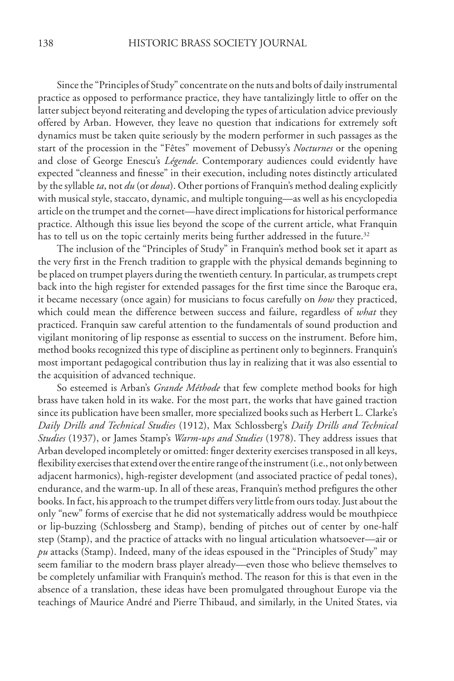Since the "Principles of Study" concentrate on the nuts and bolts of daily instrumental practice as opposed to performance practice, they have tantalizingly little to offer on the latter subject beyond reiterating and developing the types of articulation advice previously offered by Arban. However, they leave no question that indications for extremely soft dynamics must be taken quite seriously by the modern performer in such passages as the start of the procession in the "Fêtes" movement of Debussy's *Nocturnes* or the opening and close of George Enescu's *Légende*. Contemporary audiences could evidently have expected "cleanness and finesse" in their execution, including notes distinctly articulated by the syllable *ta*, not *du* (or *doua*). Other portions of Franquin's method dealing explicitly with musical style, staccato, dynamic, and multiple tonguing—as well as his encyclopedia article on the trumpet and the cornet—have direct implications for historical performance practice. Although this issue lies beyond the scope of the current article, what Franquin has to tell us on the topic certainly merits being further addressed in the future.<sup>32</sup>

The inclusion of the "Principles of Study" in Franquin's method book set it apart as the very first in the French tradition to grapple with the physical demands beginning to be placed on trumpet players during the twentieth century. In particular, as trumpets crept back into the high register for extended passages for the first time since the Baroque era, it became necessary (once again) for musicians to focus carefully on *how* they practiced, which could mean the difference between success and failure, regardless of *what* they practiced. Franquin saw careful attention to the fundamentals of sound production and vigilant monitoring of lip response as essential to success on the instrument. Before him, method books recognized this type of discipline as pertinent only to beginners. Franquin's most important pedagogical contribution thus lay in realizing that it was also essential to the acquisition of advanced technique.

So esteemed is Arban's *Grande Méthode* that few complete method books for high brass have taken hold in its wake. For the most part, the works that have gained traction since its publication have been smaller, more specialized books such as Herbert L. Clarke's *Daily Drills and Technical Studies* (1912), Max Schlossberg's *Daily Drills and Technical Studies* (1937), or James Stamp's *Warm-ups and Studies* (1978). They address issues that Arban developed incompletely or omitted: finger dexterity exercises transposed in all keys, flexibility exercises that extend over the entire range of the instrument (i.e., not only between adjacent harmonics), high-register development (and associated practice of pedal tones), endurance, and the warm-up. In all of these areas, Franquin's method prefigures the other books. In fact, his approach to the trumpet differs very little from ours today. Just about the only "new" forms of exercise that he did not systematically address would be mouthpiece or lip-buzzing (Schlossberg and Stamp), bending of pitches out of center by one-half step (Stamp), and the practice of attacks with no lingual articulation whatsoever—air or *pu* attacks (Stamp). Indeed, many of the ideas espoused in the "Principles of Study" may seem familiar to the modern brass player already—even those who believe themselves to be completely unfamiliar with Franquin's method. The reason for this is that even in the absence of a translation, these ideas have been promulgated throughout Europe via the teachings of Maurice André and Pierre Thibaud, and similarly, in the United States, via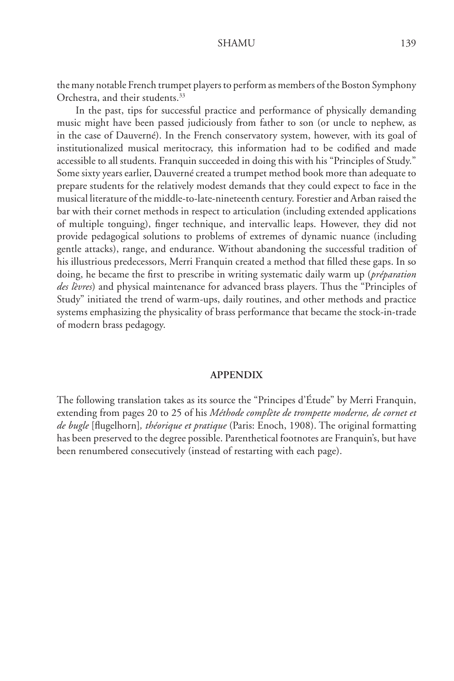the many notable French trumpet players to perform as members of the Boston Symphony Orchestra, and their students.<sup>33</sup>

In the past, tips for successful practice and performance of physically demanding music might have been passed judiciously from father to son (or uncle to nephew, as in the case of Dauverné). In the French conservatory system, however, with its goal of institutionalized musical meritocracy, this information had to be codified and made accessible to all students. Franquin succeeded in doing this with his "Principles of Study." Some sixty years earlier, Dauverné created a trumpet method book more than adequate to prepare students for the relatively modest demands that they could expect to face in the musical literature of the middle-to-late-nineteenth century. Forestier and Arban raised the bar with their cornet methods in respect to articulation (including extended applications of multiple tonguing), finger technique, and intervallic leaps. However, they did not provide pedagogical solutions to problems of extremes of dynamic nuance (including gentle attacks), range, and endurance. Without abandoning the successful tradition of his illustrious predecessors, Merri Franquin created a method that filled these gaps. In so doing, he became the first to prescribe in writing systematic daily warm up (*préparation des lèvres*) and physical maintenance for advanced brass players. Thus the "Principles of Study" initiated the trend of warm-ups, daily routines, and other methods and practice systems emphasizing the physicality of brass performance that became the stock-in-trade of modern brass pedagogy.

### **APPENDIX**

The following translation takes as its source the "Principes d'Étude" by Merri Franquin, extending from pages 20 to 25 of his *Méthode complète de trompette moderne, de cornet et de bugle* [flugelhorn]*, théorique et pratique* (Paris: Enoch, 1908). The original formatting has been preserved to the degree possible. Parenthetical footnotes are Franquin's, but have been renumbered consecutively (instead of restarting with each page).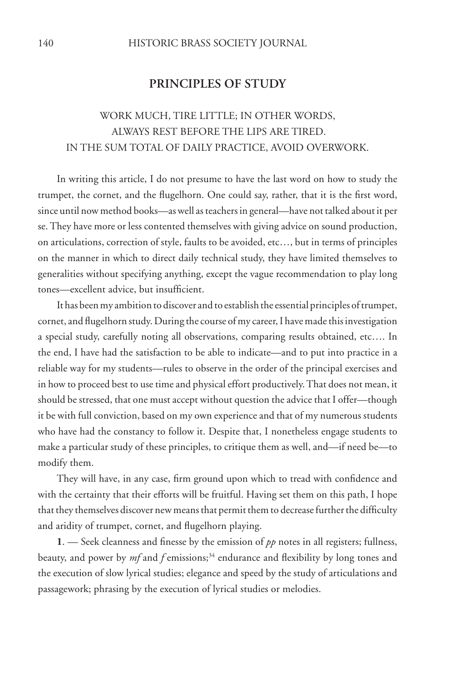### **PRINCIPLES OF STUDY**

## work much, tire little; in other words, always rest before the lips are tired. in the sum total of daily practice, avoid overwork.

In writing this article, I do not presume to have the last word on how to study the trumpet, the cornet, and the flugelhorn. One could say, rather, that it is the first word, since until now method books—as well as teachers in general—have not talked about it per se. They have more or less contented themselves with giving advice on sound production, on articulations, correction of style, faults to be avoided, etc…, but in terms of principles on the manner in which to direct daily technical study, they have limited themselves to generalities without specifying anything, except the vague recommendation to play long tones—excellent advice, but insufficient.

It has been my ambition to discover and to establish the essential principles of trumpet, cornet, and flugelhorn study. During the course of my career, I have made this investigation a special study, carefully noting all observations, comparing results obtained, etc…. In the end, I have had the satisfaction to be able to indicate—and to put into practice in a reliable way for my students—rules to observe in the order of the principal exercises and in how to proceed best to use time and physical effort productively. That does not mean, it should be stressed, that one must accept without question the advice that I offer—though it be with full conviction, based on my own experience and that of my numerous students who have had the constancy to follow it. Despite that, I nonetheless engage students to make a particular study of these principles, to critique them as well, and—if need be—to modify them.

They will have, in any case, firm ground upon which to tread with confidence and with the certainty that their efforts will be fruitful. Having set them on this path, I hope that they themselves discover new means that permit them to decrease further the difficulty and aridity of trumpet, cornet, and flugelhorn playing.

1. — Seek cleanness and finesse by the emission of  $pp$  notes in all registers; fullness, beauty, and power by *mf* and *f* emissions;<sup>34</sup> endurance and flexibility by long tones and the execution of slow lyrical studies; elegance and speed by the study of articulations and passagework; phrasing by the execution of lyrical studies or melodies.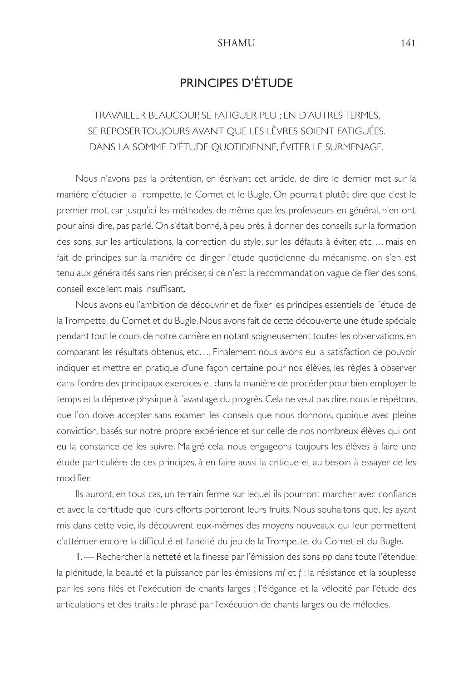## PRINCIPES D'ÉTUDE

travailler beaucoup, se fatiguer peu ; en d'autres termes, se reposer toujours avant que les lèvres soient fatiguées. dans la somme d'étude quotidienne, éviter le surmenage.

 Nous n'avons pas la prétention, en écrivant cet article, de dire le dernier mot sur la manière d'étudier la Trompette, le Cornet et le Bugle. On pourrait plutôt dire que c'est le premier mot, car jusqu'ici les méthodes, de même que les professeurs en général, n'en ont, pour ainsi dire, pas parlé. On s'était borné, à peu près, à donner des conseils sur la formation des sons, sur les articulations, la correction du style, sur les défauts à éviter, etc…, mais en fait de principes sur la manière de diriger l'étude quotidienne du mécanisme, on s'en est tenu aux généralités sans rien préciser, si ce n'est la recommandation vague de filer des sons, conseil excellent mais insuffisant.

Nous avons eu l'ambition de découvrir et de fixer les principes essentiels de l'étude de la Trompette, du Cornet et du Bugle. Nous avons fait de cette découverte une étude spéciale pendant tout le cours de notre carrière en notant soigneusement toutes les observations, en comparant les résultats obtenus, etc…. Finalement nous avons eu la satisfaction de pouvoir indiquer et mettre en pratique d'une façon certaine pour nos élèves, les règles à observer dans l'ordre des principaux exercices et dans la manière de procéder pour bien employer le temps et la dépense physique à l'avantage du progrès. Cela ne veut pas dire, nous le répétons, que l'on doive accepter sans examen les conseils que nous donnons, quoique avec pleine conviction, basés sur notre propre expérience et sur celle de nos nombreux élèves qui ont eu la constance de les suivre. Malgré cela, nous engageons toujours les élèves à faire une étude particulière de ces principes, à en faire aussi la critique et au besoin à essayer de les modifier.

Ils auront, en tous cas, un terrain ferme sur lequel ils pourront marcher avec confiance et avec la certitude que leurs efforts porteront leurs fruits. Nous souhaitons que, les ayant mis dans cette voie, ils découvrent eux-mêmes des moyens nouveaux qui leur permettent d'atténuer encore la difficulté et l'aridité du jeu de la Trompette, du Cornet et du Bugle.

1. — Rechercher la netteté et la finesse par l'émission des sons *pp* dans toute l'étendue; la plénitude, la beauté et la puissance par les émissions *mf* et *f* ; la résistance et la souplesse par les sons filés et l'exécution de chants larges ; l'élégance et la vélocité par l'étude des articulations et des traits : le phrasé par l'exécution de chants larges ou de mélodies.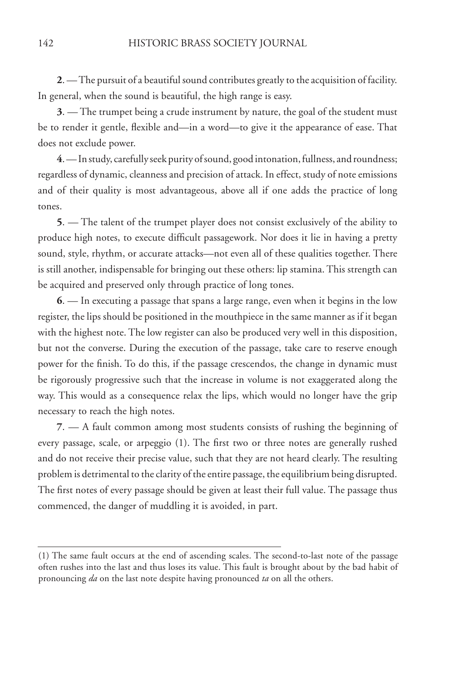**2**. — The pursuit of a beautiful sound contributes greatly to the acquisition of facility. In general, when the sound is beautiful, the high range is easy.

**3**. — The trumpet being a crude instrument by nature, the goal of the student must be to render it gentle, flexible and—in a word—to give it the appearance of ease. That does not exclude power.

**4**. — In study, carefully seek purity of sound, good intonation, fullness, and roundness; regardless of dynamic, cleanness and precision of attack. In effect, study of note emissions and of their quality is most advantageous, above all if one adds the practice of long tones.

**5**. — The talent of the trumpet player does not consist exclusively of the ability to produce high notes, to execute difficult passagework. Nor does it lie in having a pretty sound, style, rhythm, or accurate attacks—not even all of these qualities together. There is still another, indispensable for bringing out these others: lip stamina. This strength can be acquired and preserved only through practice of long tones.

**6**. — In executing a passage that spans a large range, even when it begins in the low register, the lips should be positioned in the mouthpiece in the same manner as if it began with the highest note. The low register can also be produced very well in this disposition, but not the converse. During the execution of the passage, take care to reserve enough power for the finish. To do this, if the passage crescendos, the change in dynamic must be rigorously progressive such that the increase in volume is not exaggerated along the way. This would as a consequence relax the lips, which would no longer have the grip necessary to reach the high notes.

**7**. — A fault common among most students consists of rushing the beginning of every passage, scale, or arpeggio (1). The first two or three notes are generally rushed and do not receive their precise value, such that they are not heard clearly. The resulting problem is detrimental to the clarity of the entire passage, the equilibrium being disrupted. The first notes of every passage should be given at least their full value. The passage thus commenced, the danger of muddling it is avoided, in part.

<sup>(1)</sup> The same fault occurs at the end of ascending scales. The second-to-last note of the passage often rushes into the last and thus loses its value. This fault is brought about by the bad habit of pronouncing *da* on the last note despite having pronounced *ta* on all the others.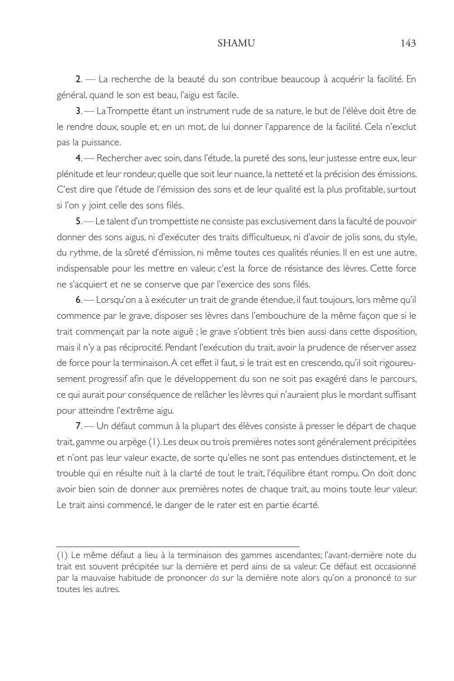2. — La recherche de la beauté du son contribue beaucoup à acquérir la facilité. En général, quand le son est beau, l'aigu est facile.

3. — La Trompette étant un instrument rude de sa nature, le but de l'élève doit être de le rendre doux, souple et, en un mot, de lui donner l'apparence de la facilité. Cela n'exclut pas la puissance.

4. — Rechercher avec soin, dans l'étude, la pureté des sons, leur justesse entre eux, leur plénitude et leur rondeur, quelle que soit leur nuance, la netteté et la précision des émissions. C'est dire que l'étude de l'émission des sons et de leur qualité est la plus profitable, surtout si l'on y joint celle des sons filés.

5. — Le talent d'un trompettiste ne consiste pas exclusivement dans la faculté de pouvoir donner des sons aigus, ni d'exécuter des traits difficultueux, ni d'avoir de jolis sons, du style, du rythme, de la sûreté d'émission, ni même toutes ces qualités réunies. Il en est une autre, indispensable pour les mettre en valeur, c'est la force de résistance des lèvres. Cette force ne s'acquiert et ne se conserve que par l'exercice des sons filés.

6. — Lorsqu'on a à exécuter un trait de grande étendue, il faut toujours, lors même qu'il commence par le grave, disposer ses lèvres dans l'embouchure de la même façon que si le trait commençait par la note aiguë ; le grave s'obtient très bien aussi dans cette disposition, mais il n'y a pas réciprocité. Pendant l'exécution du trait, avoir la prudence de réserver assez de force pour la terminaison. A cet effet il faut, si le trait est en crescendo, qu'il soit rigoureusement progressif afin que le développement du son ne soit pas exagéré dans le parcours, ce qui aurait pour conséquence de relâcher les lèvres qui n'auraient plus le mordant suffisant pour atteindre l'extrême aigu.

7. — Un défaut commun à la plupart des élèves consiste à presser le départ de chaque trait, gamme ou arpège (1). Les deux ou trois premières notes sont généralement précipitées et n'ont pas leur valeur exacte, de sorte qu'elles ne sont pas entendues distinctement, et le trouble qui en résulte nuit à la clarté de tout le trait, l'équilibre étant rompu. On doit donc avoir bien soin de donner aux premières notes de chaque trait, au moins toute leur valeur. Le trait ainsi commencé, le danger de le rater est en partie écarté.

<sup>(1)</sup> Le même défaut a lieu à la terminaison des gammes ascendantes; l'avant-dernière note du trait est souvent précipitée sur la dernière et perd ainsi de sa valeur. Ce défaut est occasionné par la mauvaise habitude de prononcer *da* sur la dernière note alors qu'on a prononcé *ta* sur toutes les autres.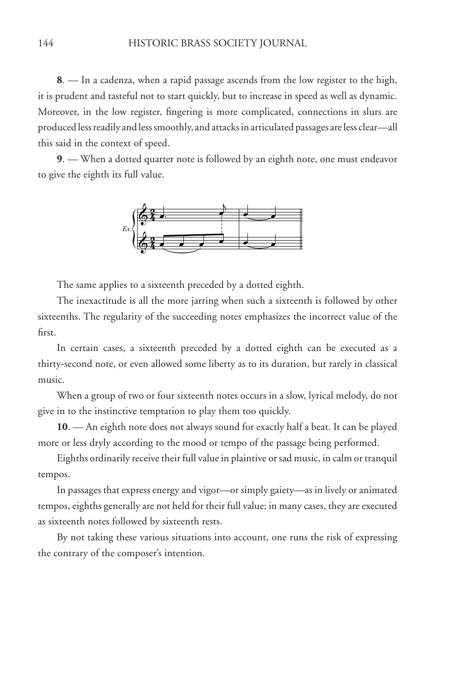**8**. — In a cadenza, when a rapid passage ascends from the low register to the high, it is prudent and tasteful not to start quickly, but to increase in speed as well as dynamic. Moreover, in the low register, fingering is more complicated, connections in slurs are produced less readily and less smoothly, and attacks in articulated passages are less clear—all this said in the context of speed.

**9**. — When a dotted quarter note is followed by an eighth note, one must endeavor to give the eighth its full value.



The same applies to a sixteenth preceded by a dotted eighth.

The inexactitude is all the more jarring when such a sixteenth is followed by other sixteenths. The regularity of the succeeding notes emphasizes the incorrect value of the first.

In certain cases, a sixteenth preceded by a dotted eighth can be executed as a thirty-second note, or even allowed some liberty as to its duration, but rarely in classical music.

When a group of two or four sixteenth notes occurs in a slow, lyrical melody, do not give in to the instinctive temptation to play them too quickly.

**10**. — An eighth note does not always sound for exactly half a beat. It can be played more or less dryly according to the mood or tempo of the passage being performed.

Eighths ordinarily receive their full value in plaintive or sad music, in calm or tranquil tempos.

In passages that express energy and vigor—or simply gaiety—as in lively or animated tempos, eighths generally are not held for their full value; in many cases, they are executed as sixteenth notes followed by sixteenth rests.

By not taking these various situations into account, one runs the risk of expressing the contrary of the composer's intention.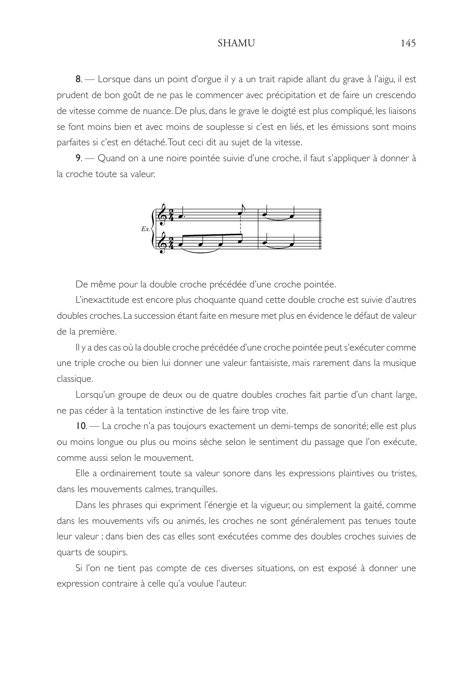8. — Lorsque dans un point d'orgue il y a un trait rapide allant du grave à l'aigu, il est prudent de bon goût de ne pas le commencer avec précipitation et de faire un crescendo de vitesse comme de nuance. De plus, dans le grave le doigté est plus compliqué, les liaisons se font moins bien et avec moins de souplesse si c'est en liés, et les émissions sont moins parfaites si c'est en détaché. Tout ceci dit au sujet de la vitesse.

9. — Quand on a une noire pointée suivie d'une croche, il faut s'appliquer à donner à la croche toute sa valeur.



De même pour la double croche précédée d'une croche pointée.

 L'inexactitude est encore plus choquante quand cette double croche est suivie d'autres doubles croches. La succession étant faite en mesure met plus en évidence le défaut de valeur de la première.

 Il y a des cas où la double croche précédée d'une croche pointée peut s'exécuter comme une triple croche ou bien lui donner une valeur fantaisiste, mais rarement dans la musique classique.

 Lorsqu'un groupe de deux ou de quatre doubles croches fait partie d'un chant large, ne pas céder à la tentation instinctive de les faire trop vite.

10. — La croche n'a pas toujours exactement un demi-temps de sonorité; elle est plus ou moins longue ou plus ou moins sèche selon le sentiment du passage que l'on exécute, comme aussi selon le mouvement.

 Elle a ordinairement toute sa valeur sonore dans les expressions plaintives ou tristes, dans les mouvements calmes, tranquilles.

 Dans les phrases qui expriment l'énergie et la vigueur, ou simplement la gaité, comme dans les mouvements vifs ou animés, les croches ne sont généralement pas tenues toute leur valeur ; dans bien des cas elles sont exécutées comme des doubles croches suivies de quarts de soupirs.

 Si l'on ne tient pas compte de ces diverses situations, on est exposé à donner une expression contraire à celle qu'a voulue l'auteur.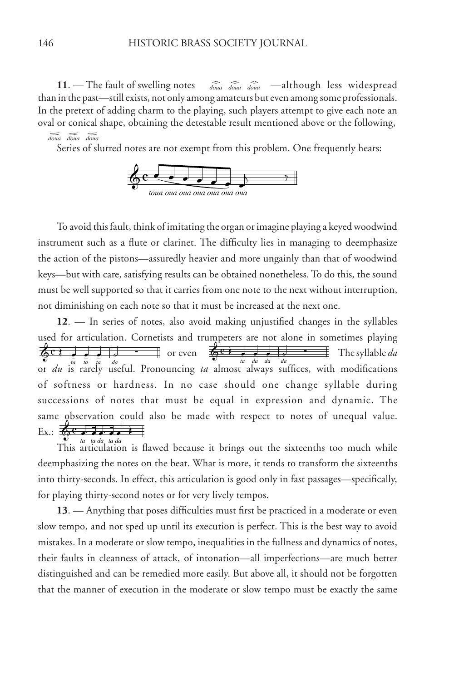**11**. — The fault of swelling notes  $\sum_{doua}$   $\sum_{doua}$   $\sum_{doua}$  —although less widespread than in the past—still exists, not only among amateurs but even among some professionals. In the pretext of adding charm to the playing, such players attempt to give each note an oval or conical shape, obtaining the detestable result mentioned above or the following,  *doua doua doua*

Series of slurred notes are not exempt from this problem. One frequently hears:



To avoid this fault, think of imitating the organ or imagine playing a keyed woodwind instrument such as a flute or clarinet. The difficulty lies in managing to deemphasize the action of the pistons—assuredly heavier and more ungainly than that of woodwind keys—but with care, satisfying results can be obtained nonetheless. To do this, the sound must be well supported so that it carries from one note to the next without interruption, not diminishing on each note so that it must be increased at the next one.

**12**. — In series of notes, also avoid making unjustified changes in the syllables used for articulation. Cornetists and trumpeters are not alone in sometimes playing  $\overline{\phi}$ **c** :  $\overline{\phi}$  =  $\overline{\phi}$  =  $\overline{\phi}$  =  $\overline{\phi}$  =  $\overline{\phi}$  =  $\overline{\phi}$  = The syllable *da*  $\frac{1}{\sqrt[n]{\frac{1}{\sqrt[n]{\frac{1}{\sqrt[n]{\frac{1}{\sqrt[n]{\frac{1}{\sqrt[n]{\frac{1}{\sqrt[n]{\frac{1}{\sqrt[n]{\frac{1}{\sqrt[n]{\frac{1}{\sqrt[n]{\frac{1}{\sqrt[n]{\frac{1}{\sqrt[n]{\frac{1}{\sqrt[n]{\frac{1}{\sqrt[n]{\frac{1}{\sqrt[n]{\frac{1}{\sqrt[n]{\frac{1}{\sqrt[n]{\frac{1}{\sqrt[n]{\frac{1}{\sqrt[n]{\frac{1}{\sqrt[n]{\frac{1}{\sqrt[n]{\frac{1}{\sqrt[n]{\frac{1}{\sqrt[n]{\frac{1}{\sqrt[n]{\frac{1}{\sqrt[n]{\frac{1$ of softness or hardness. In no case should one change syllable during successions of notes that must be equal in expression and dynamic. The same observation could also be made with respect to notes of unequal value.  $\text{Ex.}:$   $\bigoplus$   $\mathbf{c}$   $\bigoplus$   $\bigoplus$   $\bigoplus$   $\bigoplus$   $\bigoplus$   $\bigoplus$   $\bigoplus$   $\bigoplus$   $\bigoplus$   $\bigoplus$   $\bigoplus$   $\bigoplus$   $\bigoplus$   $\bigoplus$   $\bigoplus$   $\bigoplus$   $\bigoplus$   $\bigoplus$   $\bigoplus$   $\bigoplus$   $\bigoplus$   $\bigoplus$   $\bigoplus$   $\bigoplus$   $\bigoplus$   $\bigoplus$   $\bigoplus$   $\bigoplus$   $\leftarrow$   $\leftarrow$   $\leftarrow$   $\leftarrow$  or even

 $\sum_{t}^{t}$  *ta ta da ta da is* flawed because it brings out the sixteenths too much while deemphasizing the notes on the beat. What is more, it tends to transform the sixteenths into thirty-seconds. In effect, this articulation is good only in fast passages—specifically, for playing thirty-second notes or for very lively tempos.

**13**. — Anything that poses difficulties must first be practiced in a moderate or even slow tempo, and not sped up until its execution is perfect. This is the best way to avoid mistakes. In a moderate or slow tempo, inequalities in the fullness and dynamics of notes, their faults in cleanness of attack, of intonation—all imperfections—are much better distinguished and can be remedied more easily. But above all, it should not be forgotten that the manner of execution in the moderate or slow tempo must be exactly the same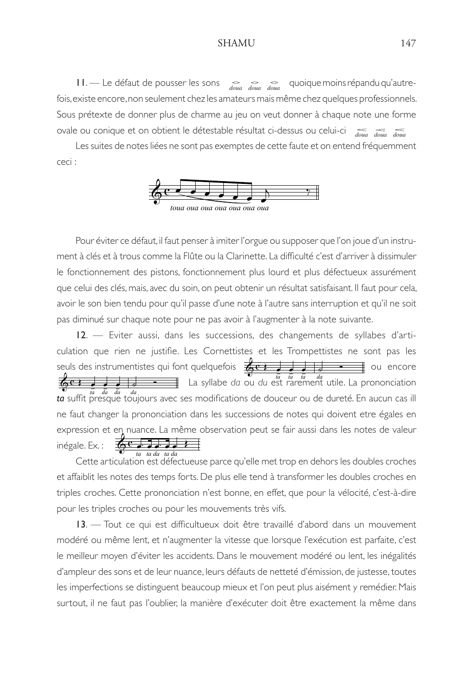$11.$  Le défaut de pousser les sons  $\frac{1}{4}$   $\frac{1}{4}$   $\frac{1}{4}$  quoique moins répandu qu'autrefois, existe encore, non seulement chez les amateurs mais même chez quelques professionnels. Sous prétexte de donner plus de charme au jeu on veut donner à chaque note une forme ovale ou conique et on obtient le détestable résultat ci-dessus ou celui-ci  *doua doua doua doua doua doua*

 Les suites de notes liées ne sont pas exemptes de cette faute et on entend fréquemment ceci :



 Pour éviter ce défaut, il faut penser à imiter l'orgue ou supposer que l'on joue d'un instrument à clés et à trous comme la Flûte ou la Clarinette. La difficulté c'est d'arriver à dissimuler le fonctionnement des pistons, fonctionnement plus lourd et plus défectueux assurément que celui des clés, mais, avec du soin, on peut obtenir un résultat satisfaisant. Il faut pour cela, avoir le son bien tendu pour qu'il passe d'une note à l'autre sans interruption et qu'il ne soit pas diminué sur chaque note pour ne pas avoir à l'augmenter à la note suivante.

12. — Eviter aussi, dans les successions, des changements de syllabes d'articulation que rien ne justifie. Les Cornettistes et les Trompettistes ne sont pas les seuls des instrumentistes qui font quelquefois  $\frac{1}{6}$  La syllabe *da* ou *du* est rarement utile. La prononciation *ta* % *ta* % *ta* % *da ta* suffit presque toujours avec ses modifications de douceur ou de dureté. En aucun cas ill ne faut changer la prononciation dans les successions de notes qui doivent etre égales en expression et en nuance. La même observation peut se fair aussi dans les notes de valeur inégale. Ex. :  $\overline{\mathbf{G}^{\mathbf{c}}}$  Cette articulation est défectueuse parce qu'elle met trop en dehors les doubles croches *ta ta da ta da* #! # #! # # \$ % % & & & &  $\overline{\phantom{a}}$  $\overline{\phantom{a}}$  $\overline{\phantom{a}}$  $\equiv$  ou encore  $\overline{e}$  $\sum_{i=1}^{n}$  **d**  $\sum_{i=1}^{n}$  **d**  $\sum_{i=1}^{n}$  **d**  $\sum_{i=1}^{n}$  **d**  $\sum_{i=1}^{n}$  **d**  $\sum_{i=1}^{n}$  **d**  $\sum_{i=1}^{n}$  **d**  $\sum_{i=1}^{n}$  **d**  $\sum_{i=1}^{n}$  **d**  $\sum_{i=1}^{n}$  **d**  $\sum_{i=1}^{n}$  **d**  $\sum_{i=1}^{n}$  **d**  $\sum_{i=1}^{n}$  **d**  $\frac{a}{\sqrt{a^2 + b^2}}$  La syllabe da ou du est rare

et affaiblit les notes des temps forts. De plus elle tend à transformer les doubles croches en triples croches. Cette prononciation n'est bonne, en effet, que pour la vélocité, c'est-à-dire pour les triples croches ou pour les mouvements très vifs.

13. — Tout ce qui est difficultueux doit être travaillé d'abord dans un mouvement modéré ou même lent, et n'augmenter la vitesse que lorsque l'exécution est parfaite, c'est le meilleur moyen d'éviter les accidents. Dans le mouvement modéré ou lent, les inégalités d'ampleur des sons et de leur nuance, leurs défauts de netteté d'émission, de justesse, toutes les imperfections se distinguent beaucoup mieux et l'on peut plus aisément y remédier. Mais surtout, il ne faut pas l'oublier, la manière d'exécuter doit être exactement la même dans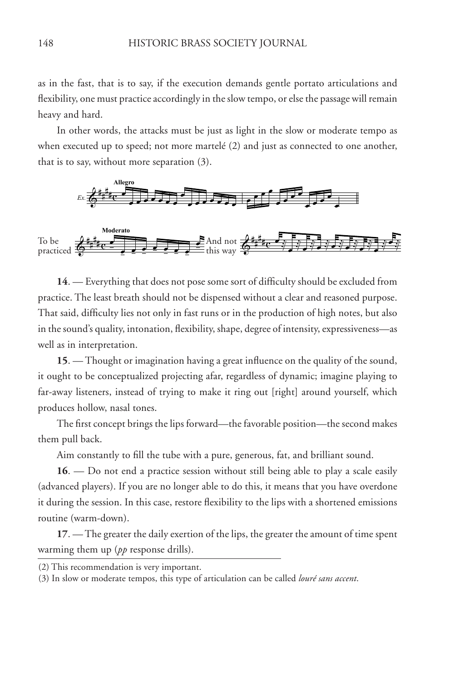as in the fast, that is to say, if the execution demands gentle portato articulations and flexibility, one must practice accordingly in the slow tempo, or else the passage will remain heavy and hard.

In other words, the attacks must be just as light in the slow or moderate tempo as when executed up to speed; not more martelé (2) and just as connected to one another, that is to say, without more separation (3).



**14**. — Everything that does not pose some sort of difficulty should be excluded from practice. The least breath should not be dispensed without a clear and reasoned purpose. That said, difficulty lies not only in fast runs or in the production of high notes, but also in the sound's quality, intonation, flexibility, shape, degree of intensity, expressiveness—as well as in interpretation.

**15**. — Thought or imagination having a great influence on the quality of the sound, it ought to be conceptualized projecting afar, regardless of dynamic; imagine playing to far-away listeners, instead of trying to make it ring out [right] around yourself, which produces hollow, nasal tones.

The first concept brings the lips forward—the favorable position—the second makes them pull back.

Aim constantly to fill the tube with a pure, generous, fat, and brilliant sound.

**16**. — Do not end a practice session without still being able to play a scale easily (advanced players). If you are no longer able to do this, it means that you have overdone it during the session. In this case, restore flexibility to the lips with a shortened emissions routine (warm-down).

**17**. — The greater the daily exertion of the lips, the greater the amount of time spent warming them up (*pp* response drills).

<sup>(2)</sup> This recommendation is very important.

<sup>(3)</sup> In slow or moderate tempos, this type of articulation can be called *louré sans accent*.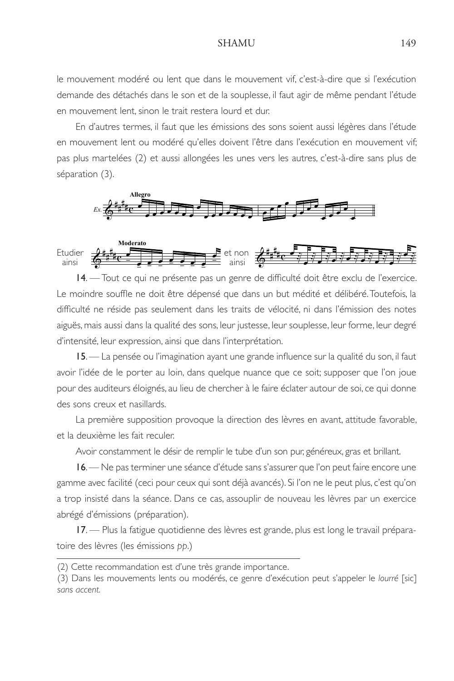le mouvement modéré ou lent que dans le mouvement vif, c'est-à-dire que si l'exécution demande des détachés dans le son et de la souplesse, il faut agir de même pendant l'étude en mouvement lent, sinon le trait restera lourd et dur.

 En d'autres termes, il faut que les émissions des sons soient aussi légères dans l'étude en mouvement lent ou modéré qu'elles doivent l'être dans l'exécution en mouvement vif; pas plus martelées (2) et aussi allongées les unes vers les autres, c'est-à-dire sans plus de séparation (3).





14. — Tout ce qui ne présente pas un genre de difficulté doit être exclu de l'exercice. Le moindre souffle ne doit être dépensé que dans un but médité et délibéré. Toutefois, la difficulté ne réside pas seulement dans les traits de vélocité, ni dans l'émission des notes aiguës, mais aussi dans la qualité des sons, leur justesse, leur souplesse, leur forme, leur degré d'intensité, leur expression, ainsi que dans l'interprétation.

15. — La pensée ou l'imagination ayant une grande influence sur la qualité du son, il faut avoir l'idée de le porter au loin, dans quelque nuance que ce soit; supposer que l'on joue pour des auditeurs éloignés, au lieu de chercher à le faire éclater autour de soi, ce qui donne des sons creux et nasillards.

 La première supposition provoque la direction des lèvres en avant, attitude favorable, et la deuxième les fait reculer.

Avoir constamment le désir de remplir le tube d'un son pur, généreux, gras et brillant.

16. — Ne pas terminer une séance d'étude sans s'assurer que l'on peut faire encore une gamme avec facilité (ceci pour ceux qui sont déjà avancés). Si l'on ne le peut plus, c'est qu'on a trop insisté dans la séance. Dans ce cas, assouplir de nouveau les lèvres par un exercice abrégé d'émissions (préparation).

17. — Plus la fatigue quotidienne des lèvres est grande, plus est long le travail préparatoire des lèvres (les émissions *pp*.)

<sup>(2)</sup> Cette recommandation est d'une très grande importance.

<sup>(3)</sup> Dans les mouvements lents ou modérés, ce genre d'exécution peut s'appeler le *lourré* [sic] *sans accent.*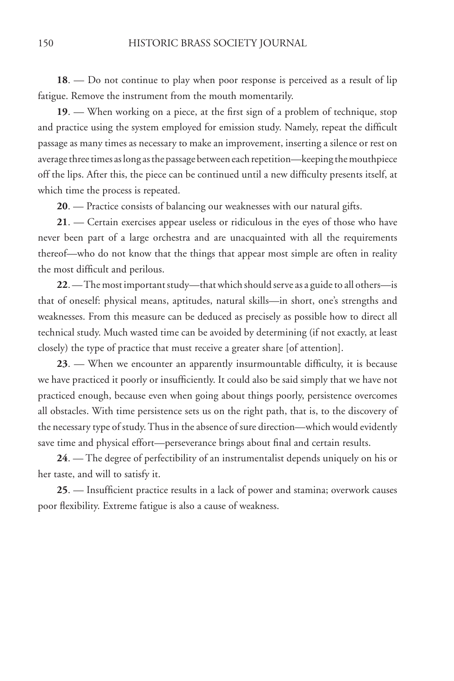**18**. — Do not continue to play when poor response is perceived as a result of lip fatigue. Remove the instrument from the mouth momentarily.

**19**. — When working on a piece, at the first sign of a problem of technique, stop and practice using the system employed for emission study. Namely, repeat the difficult passage as many times as necessary to make an improvement, inserting a silence or rest on average three times as long as the passage between each repetition—keeping the mouthpiece off the lips. After this, the piece can be continued until a new difficulty presents itself, at which time the process is repeated.

**20**. — Practice consists of balancing our weaknesses with our natural gifts.

**21**. — Certain exercises appear useless or ridiculous in the eyes of those who have never been part of a large orchestra and are unacquainted with all the requirements thereof—who do not know that the things that appear most simple are often in reality the most difficult and perilous.

**22**. — The most important study—that which should serve as a guide to all others—is that of oneself: physical means, aptitudes, natural skills—in short, one's strengths and weaknesses. From this measure can be deduced as precisely as possible how to direct all technical study. Much wasted time can be avoided by determining (if not exactly, at least closely) the type of practice that must receive a greater share [of attention].

**23**. — When we encounter an apparently insurmountable difficulty, it is because we have practiced it poorly or insufficiently. It could also be said simply that we have not practiced enough, because even when going about things poorly, persistence overcomes all obstacles. With time persistence sets us on the right path, that is, to the discovery of the necessary type of study. Thus in the absence of sure direction—which would evidently save time and physical effort—perseverance brings about final and certain results.

**24**. — The degree of perfectibility of an instrumentalist depends uniquely on his or her taste, and will to satisfy it.

**25**. — Insufficient practice results in a lack of power and stamina; overwork causes poor flexibility. Extreme fatigue is also a cause of weakness.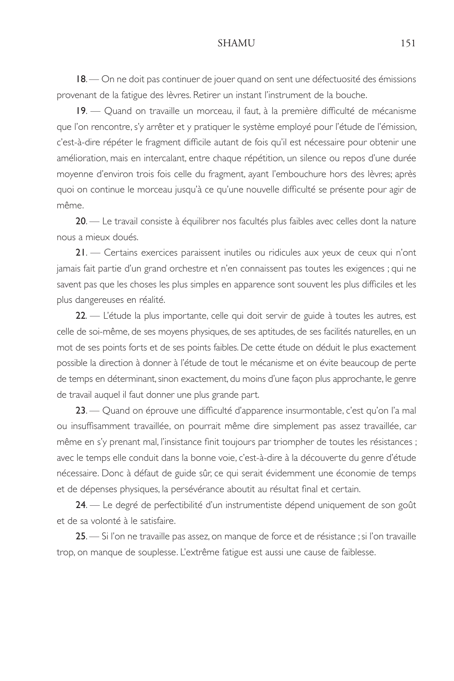18. — On ne doit pas continuer de jouer quand on sent une défectuosité des émissions provenant de la fatigue des lèvres. Retirer un instant l'instrument de la bouche.

19. — Quand on travaille un morceau, il faut, à la première difficulté de mécanisme que l'on rencontre, s'y arrêter et y pratiquer le système employé pour l'étude de l'émission, c'est-à-dire répéter le fragment difficile autant de fois qu'il est nécessaire pour obtenir une amélioration, mais en intercalant, entre chaque répétition, un silence ou repos d'une durée moyenne d'environ trois fois celle du fragment, ayant l'embouchure hors des lèvres; après quoi on continue le morceau jusqu'à ce qu'une nouvelle difficulté se présente pour agir de même.

20. — Le travail consiste à équilibrer nos facultés plus faibles avec celles dont la nature nous a mieux doués.

21. — Certains exercices paraissent inutiles ou ridicules aux yeux de ceux qui n'ont jamais fait partie d'un grand orchestre et n'en connaissent pas toutes les exigences ; qui ne savent pas que les choses les plus simples en apparence sont souvent les plus difficiles et les plus dangereuses en réalité.

22. — L'étude la plus importante, celle qui doit servir de guide à toutes les autres, est celle de soi-même, de ses moyens physiques, de ses aptitudes, de ses facilités naturelles, en un mot de ses points forts et de ses points faibles. De cette étude on déduit le plus exactement possible la direction à donner à l'étude de tout le mécanisme et on évite beaucoup de perte de temps en déterminant, sinon exactement, du moins d'une façon plus approchante, le genre de travail auquel il faut donner une plus grande part.

23. — Quand on éprouve une difficulté d'apparence insurmontable, c'est qu'on l'a mal ou insuffisamment travaillée, on pourrait même dire simplement pas assez travaillée, car même en s'y prenant mal, l'insistance finit toujours par triompher de toutes les résistances ; avec le temps elle conduit dans la bonne voie, c'est-à-dire à la découverte du genre d'étude nécessaire. Donc à défaut de guide sûr, ce qui serait évidemment une économie de temps et de dépenses physiques, la persévérance aboutit au résultat final et certain.

24. — Le degré de perfectibilité d'un instrumentiste dépend uniquement de son goût et de sa volonté à le satisfaire.

25. — Si l'on ne travaille pas assez, on manque de force et de résistance ; si l'on travaille trop, on manque de souplesse. L'extrême fatigue est aussi une cause de faiblesse.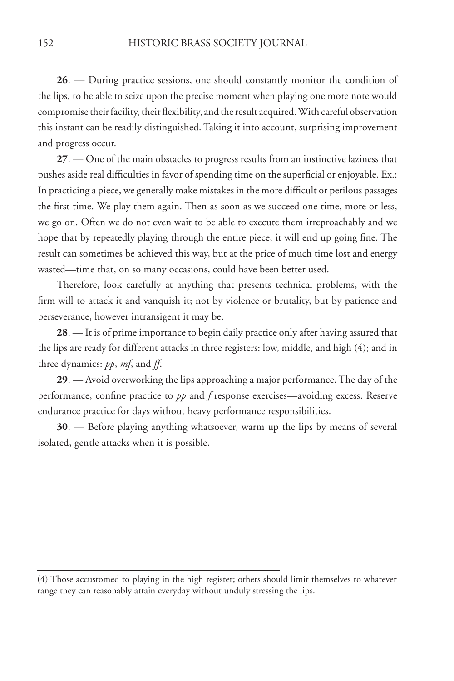**26**. — During practice sessions, one should constantly monitor the condition of the lips, to be able to seize upon the precise moment when playing one more note would compromise their facility, their flexibility, and the result acquired. With careful observation this instant can be readily distinguished. Taking it into account, surprising improvement and progress occur.

**27**. — One of the main obstacles to progress results from an instinctive laziness that pushes aside real difficulties in favor of spending time on the superficial or enjoyable. Ex.: In practicing a piece, we generally make mistakes in the more difficult or perilous passages the first time. We play them again. Then as soon as we succeed one time, more or less, we go on. Often we do not even wait to be able to execute them irreproachably and we hope that by repeatedly playing through the entire piece, it will end up going fine. The result can sometimes be achieved this way, but at the price of much time lost and energy wasted—time that, on so many occasions, could have been better used.

Therefore, look carefully at anything that presents technical problems, with the firm will to attack it and vanquish it; not by violence or brutality, but by patience and perseverance, however intransigent it may be.

**28**. — It is of prime importance to begin daily practice only after having assured that the lips are ready for different attacks in three registers: low, middle, and high (4); and in three dynamics: *pp*, *mf*, and *ff*.

**29**. — Avoid overworking the lips approaching a major performance. The day of the performance, confine practice to *pp* and *f* response exercises—avoiding excess. Reserve endurance practice for days without heavy performance responsibilities.

**30**. — Before playing anything whatsoever, warm up the lips by means of several isolated, gentle attacks when it is possible.

<sup>(4)</sup> Those accustomed to playing in the high register; others should limit themselves to whatever range they can reasonably attain everyday without unduly stressing the lips.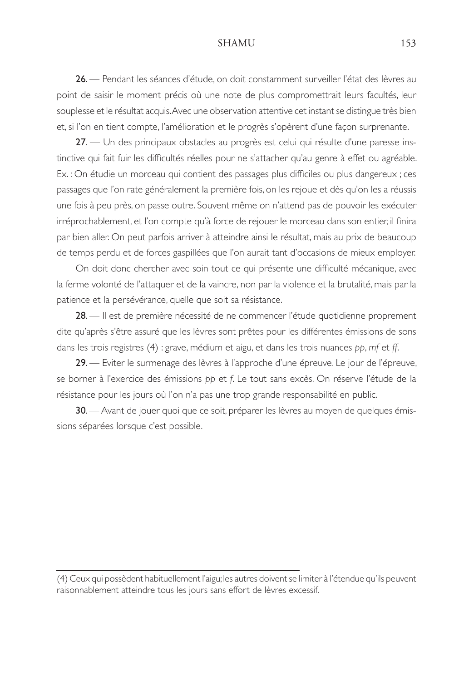26. — Pendant les séances d'étude, on doit constamment surveiller l'état des lèvres au point de saisir le moment précis où une note de plus compromettrait leurs facultés, leur souplesse et le résultat acquis. Avec une observation attentive cet instant se distingue très bien et, si l'on en tient compte, l'amélioration et le progrès s'opèrent d'une façon surprenante.

27. - Un des principaux obstacles au progrès est celui qui résulte d'une paresse instinctive qui fait fuir les difficultés réelles pour ne s'attacher qu'au genre à effet ou agréable. Ex. : On étudie un morceau qui contient des passages plus difficiles ou plus dangereux ; ces passages que l'on rate généralement la première fois, on les rejoue et dès qu'on les a réussis une fois à peu près, on passe outre. Souvent même on n'attend pas de pouvoir les exécuter irréprochablement, et l'on compte qu'à force de rejouer le morceau dans son entier, il finira par bien aller. On peut parfois arriver à atteindre ainsi le résultat, mais au prix de beaucoup de temps perdu et de forces gaspillées que l'on aurait tant d'occasions de mieux employer.

On doit donc chercher avec soin tout ce qui présente une difficulté mécanique, avec la ferme volonté de l'attaquer et de la vaincre, non par la violence et la brutalité, mais par la patience et la persévérance, quelle que soit sa résistance.

28. — Il est de première nécessité de ne commencer l'étude quotidienne proprement dite qu'après s'être assuré que les lèvres sont prêtes pour les différentes émissions de sons dans les trois registres (4) : grave, médium et aigu, et dans les trois nuances *pp*, *mf* et *ff*.

29. - Eviter le surmenage des lèvres à l'approche d'une épreuve. Le jour de l'épreuve, se borner à l'exercice des émissions *pp* et *f*. Le tout sans excès. On réserve l'étude de la résistance pour les jours où l'on n'a pas une trop grande responsabilité en public.

30. — Avant de jouer quoi que ce soit, préparer les lèvres au moyen de quelques émissions séparées lorsque c'est possible.

<sup>(4)</sup> Ceux qui possèdent habituellement l'aigu; les autres doivent se limiter à l'étendue qu'ils peuvent raisonnablement atteindre tous les jours sans effort de lèvres excessif.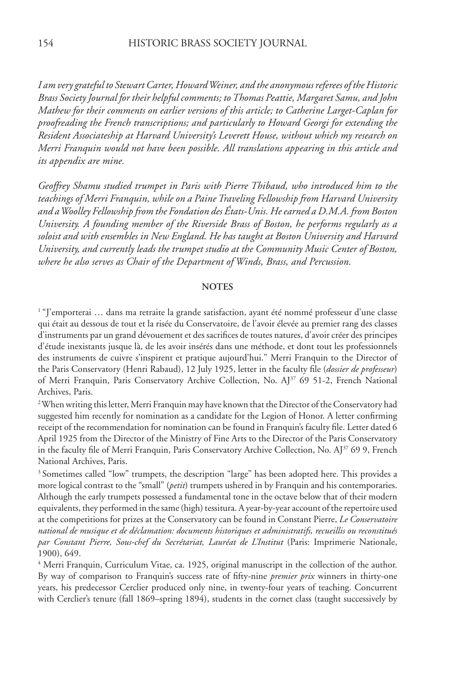*I am very grateful to Stewart Carter, Howard Weiner, and the anonymous referees of the Historic Brass Society Journal for their helpful comments; to Thomas Peattie, Margaret Samu, and John Mathew for their comments on earlier versions of this article; to Catherine Larget-Caplan for proofreading the French transcriptions; and particularly to Howard Georgi for extending the Resident Associateship at Harvard University's Leverett House, without which my research on Merri Franquin would not have been possible. All translations appearing in this article and its appendix are mine.*

*Geoffrey Shamu studied trumpet in Paris with Pierre Thibaud, who introduced him to the teachings of Merri Franquin, while on a Paine Traveling Fellowship from Harvard University and a Woolley Fellowship from the Fondation des États-Unis. He earned a D.M.A. from Boston University. A founding member of the Riverside Brass of Boston, he performs regularly as a soloist and with ensembles in New England. He has taught at Boston University and Harvard University, and currently leads the trumpet studio at the Community Music Center of Boston, where he also serves as Chair of the Department of Winds, Brass, and Percussion.*

### **NOTES**

<sup>1</sup> "J'emporterai … dans ma retraite la grande satisfaction, ayant été nommé professeur d'une classe qui était au dessous de tout et la risée du Conservatoire, de l'avoir élevée au premier rang des classes d'instruments par un grand dévouement et des sacrifices de toutes natures, d'avoir créer des principes d'étude inexistants jusque là, de les avoir insérés dans une méthode, et dont tout les professionnels des instruments de cuivre s'inspirent et pratique aujourd'hui." Merri Franquin to the Director of the Paris Conservatory (Henri Rabaud), 12 July 1925, letter in the faculty file (*dossier de professeur*) of Merri Franquin, Paris Conservatory Archive Collection, No. AJ<sup>37</sup> 69 51-2, French National Archives, Paris.

<sup>2</sup> When writing this letter, Merri Franquin may have known that the Director of the Conservatory had suggested him recently for nomination as a candidate for the Legion of Honor. A letter confirming receipt of the recommendation for nomination can be found in Franquin's faculty file. Letter dated 6 April 1925 from the Director of the Ministry of Fine Arts to the Director of the Paris Conservatory in the faculty file of Merri Franquin, Paris Conservatory Archive Collection, No. AJ<sup>37</sup> 69 9, French National Archives, Paris.

 $3$  Sometimes called "low" trumpets, the description "large" has been adopted here. This provides a more logical contrast to the "small" (*petit*) trumpets ushered in by Franquin and his contemporaries. Although the early trumpets possessed a fundamental tone in the octave below that of their modern equivalents, they performed in the same (high) tessitura. A year-by-year account of the repertoire used at the competitions for prizes at the Conservatory can be found in Constant Pierre, *Le Conservatoire national de musique et de déclamation: documents historiques et administratifs, recueillis ou reconstitués par Constant Pierre, Sous-chef du Secrétariat, Lauréat de L'Institut* (Paris: Imprimerie Nationale, 1900), 649.

4 Merri Franquin, Curriculum Vitae, ca. 1925, original manuscript in the collection of the author. By way of comparison to Franquin's success rate of fifty-nine *premier prix* winners in thirty-one years, his predecessor Cerclier produced only nine, in twenty-four years of teaching. Concurrent with Cerclier's tenure (fall 1869–spring 1894), students in the cornet class (taught successively by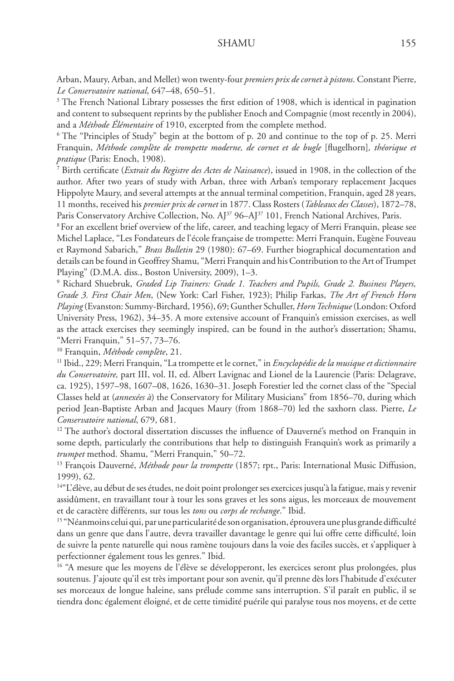Arban, Maury, Arban, and Mellet) won twenty-four *premiers prix de cornet à pistons*. Constant Pierre, *Le Conservatoire national*, 647–48, 650–51.

<sup>5</sup> The French National Library possesses the first edition of 1908, which is identical in pagination and content to subsequent reprints by the publisher Enoch and Compagnie (most recently in 2004), and a *Méthode Élémentaire* of 1910, excerpted from the complete method.

6 The "Principles of Study" begin at the bottom of p. 20 and continue to the top of p. 25. Merri Franquin, *Méthode complète de trompette moderne, de cornet et de bugle* [flugelhorn]*, théorique et pratique* (Paris: Enoch, 1908).

7 Birth certificate (*Extrait du Registre des Actes de Naissance*), issued in 1908, in the collection of the author. After two years of study with Arban, three with Arban's temporary replacement Jacques Hippolyte Maury, and several attempts at the annual terminal competition, Franquin, aged 28 years, 11 months, received his *premier prix de cornet* in 1877. Class Rosters (*Tableaux des Classes*), 1872–78, Paris Conservatory Archive Collection, No. AJ<sup>37</sup> 96-AJ<sup>37</sup> 101, French National Archives, Paris.

8 For an excellent brief overview of the life, career, and teaching legacy of Merri Franquin, please see Michel Laplace, "Les Fondateurs de l'école française de trompette: Merri Franquin, Eugène Fouveau et Raymond Sabarich," *Brass Bulletin* 29 (1980): 67–69. Further biographical documentation and details can be found in Geoffrey Shamu, "Merri Franquin and his Contribution to the Art of Trumpet Playing" (D.M.A. diss., Boston University, 2009), 1–3.

9 Richard Shuebruk, *Graded Lip Trainers: Grade 1. Teachers and Pupils, Grade 2. Business Players, Grade 3. First Chair Men*, (New York: Carl Fisher, 1923); Philip Farkas, *The Art of French Horn Playing* (Evanston: Summy-Birchard, 1956), 69; Gunther Schuller, *Horn Technique* (London: Oxford University Press, 1962), 34–35. A more extensive account of Franquin's emission exercises, as well as the attack exercises they seemingly inspired, can be found in the author's dissertation; Shamu, "Merri Franquin," 51–57, 73–76.

<sup>10</sup> Franquin, *Méthode complète*, 21.

<sup>11</sup> Ibid., 229; Merri Franquin, "La trompette et le cornet," in *Encyclopédie de la musique et dictionnaire du Conservatoire,* part III, vol. II, ed. Albert Lavignac and Lionel de la Laurencie (Paris: Delagrave, ca. 1925), 1597–98, 1607–08, 1626, 1630–31. Joseph Forestier led the cornet class of the "Special Classes held at (*annexées à*) the Conservatory for Military Musicians" from 1856–70, during which period Jean-Baptiste Arban and Jacques Maury (from 1868–70) led the saxhorn class. Pierre, *Le Conservatoire national*, 679, 681.

<sup>12</sup> The author's doctoral dissertation discusses the influence of Dauverné's method on Franquin in some depth, particularly the contributions that help to distinguish Franquin's work as primarily a *trumpet* method. Shamu, "Merri Franquin," 50–72.

<sup>13</sup> François Dauverné, *Méthode pour la trompette* (1857; rpt., Paris: International Music Diffusion, 1999), 62.

<sup>14"</sup>L'élève, au début de ses études, ne doit point prolonger ses exercices jusqu'à la fatigue, mais y revenir assidûment, en travaillant tour à tour les sons graves et les sons aigus, les morceaux de mouvement et de caractère différents, sur tous les *tons* ou *corps de rechange*." Ibid.

<sup>15</sup> "Néanmoins celui qui, par une particularité de son organisation, éprouvera une plus grande difficulté dans un genre que dans l'autre, devra travailler davantage le genre qui lui offre cette difficulté, loin de suivre la pente naturelle qui nous ramène toujours dans la voie des faciles succès, et s'appliquer à perfectionner également tous les genres." Ibid.

<sup>16</sup> "A mesure que les moyens de l'élève se développeront, les exercices seront plus prolongées, plus soutenus. J'ajoute qu'il est très important pour son avenir, qu'il prenne dès lors l'habitude d'exécuter ses morceaux de longue haleine, sans prélude comme sans interruption. S'il paraît en public, il se tiendra donc également éloigné, et de cette timidité puérile qui paralyse tous nos moyens, et de cette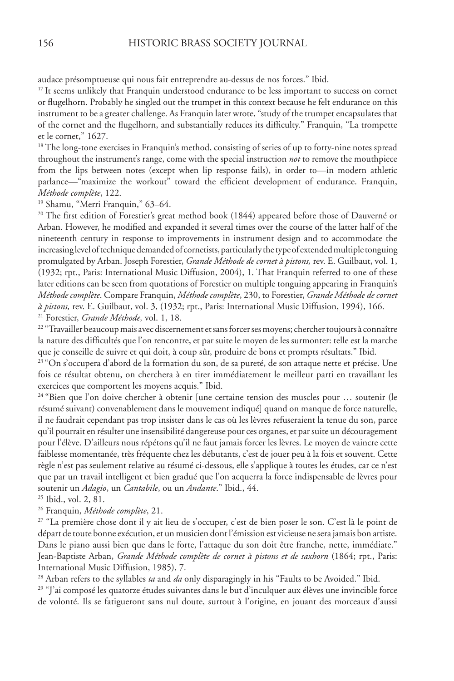audace présomptueuse qui nous fait entreprendre au-dessus de nos forces." Ibid.

<sup>17</sup>It seems unlikely that Franquin understood endurance to be less important to success on cornet or flugelhorn. Probably he singled out the trumpet in this context because he felt endurance on this instrument to be a greater challenge. As Franquin later wrote, "study of the trumpet encapsulates that of the cornet and the flugelhorn, and substantially reduces its difficulty." Franquin, "La trompette et le cornet," 1627.

<sup>18</sup> The long-tone exercises in Franquin's method, consisting of series of up to forty-nine notes spread throughout the instrument's range, come with the special instruction *not* to remove the mouthpiece from the lips between notes (except when lip response fails), in order to—in modern athletic parlance—"maximize the workout" toward the efficient development of endurance. Franquin, *Méthode complète*, 122.

19 Shamu, "Merri Franquin," 63–64.

<sup>20</sup> The first edition of Forestier's great method book (1844) appeared before those of Dauverné or Arban. However, he modified and expanded it several times over the course of the latter half of the nineteenth century in response to improvements in instrument design and to accommodate the increasing level of technique demanded of cornetists, particularly the type of extended multiple tonguing promulgated by Arban. Joseph Forestier, *Grande Méthode de cornet à pistons,* rev. E. Guilbaut, vol. 1, (1932; rpt., Paris: International Music Diffusion, 2004), 1. That Franquin referred to one of these later editions can be seen from quotations of Forestier on multiple tonguing appearing in Franquin's *Méthode complète*. Compare Franquin, *Méthode complète*, 230, to Forestier, *Grande Méthode de cornet à pistons,* rev. E. Guilbaut, vol. 3, (1932; rpt., Paris: International Music Diffusion, 1994), 166. 21 Forestier, *Grande Méthode,* vol. 1, 18.

<sup>22</sup> "Travailler beaucoup mais avec discernement et sans forcer ses moyens; chercher toujours à connaître la nature des difficultés que l'on rencontre, et par suite le moyen de les surmonter: telle est la marche que je conseille de suivre et qui doit, à coup sûr, produire de bons et prompts résultats." Ibid.

<sup>23</sup> "On s'occupera d'abord de la formation du son, de sa pureté, de son attaque nette et précise. Une fois ce résultat obtenu, on cherchera à en tirer immédiatement le meilleur parti en travaillant les exercices que comportent les moyens acquis." Ibid.

24 "Bien que l'on doive chercher à obtenir [une certaine tension des muscles pour … soutenir (le résumé suivant) convenablement dans le mouvement indiqué] quand on manque de force naturelle, il ne faudrait cependant pas trop insister dans le cas où les lèvres refuseraient la tenue du son, parce qu'il pourrait en résulter une insensibilité dangereuse pour ces organes, et par suite un découragement pour l'élève. D'ailleurs nous répétons qu'il ne faut jamais forcer les lèvres. Le moyen de vaincre cette faiblesse momentanée, très fréquente chez les débutants, c'est de jouer peu à la fois et souvent. Cette règle n'est pas seulement relative au résumé ci-dessous, elle s'applique à toutes les études, car ce n'est que par un travail intelligent et bien gradué que l'on acquerra la force indispensable de lèvres pour soutenir un *Adagio*, un *Cantabile*, ou un *Andante*." Ibid., 44.

25 Ibid., vol. 2, 81.

26 Franquin, *Méthode complète*, 21.

<sup>27</sup> "La première chose dont il y ait lieu de s'occuper, c'est de bien poser le son. C'est là le point de départ de toute bonne exécution, et un musicien dont l'émission est vicieuse ne sera jamais bon artiste. Dans le piano aussi bien que dans le forte, l'attaque du son doit être franche, nette, immédiate." Jean-Baptiste Arban, *Grande Méthode complète de cornet à pistons et de saxhorn* (1864; rpt., Paris: International Music Diffusion, 1985), 7.

28 Arban refers to the syllables *ta* and *da* only disparagingly in his "Faults to be Avoided." Ibid.

29 "J'ai composé les quatorze études suivantes dans le but d'inculquer aux élèves une invincible force de volonté. Ils se fatigueront sans nul doute, surtout à l'origine, en jouant des morceaux d'aussi